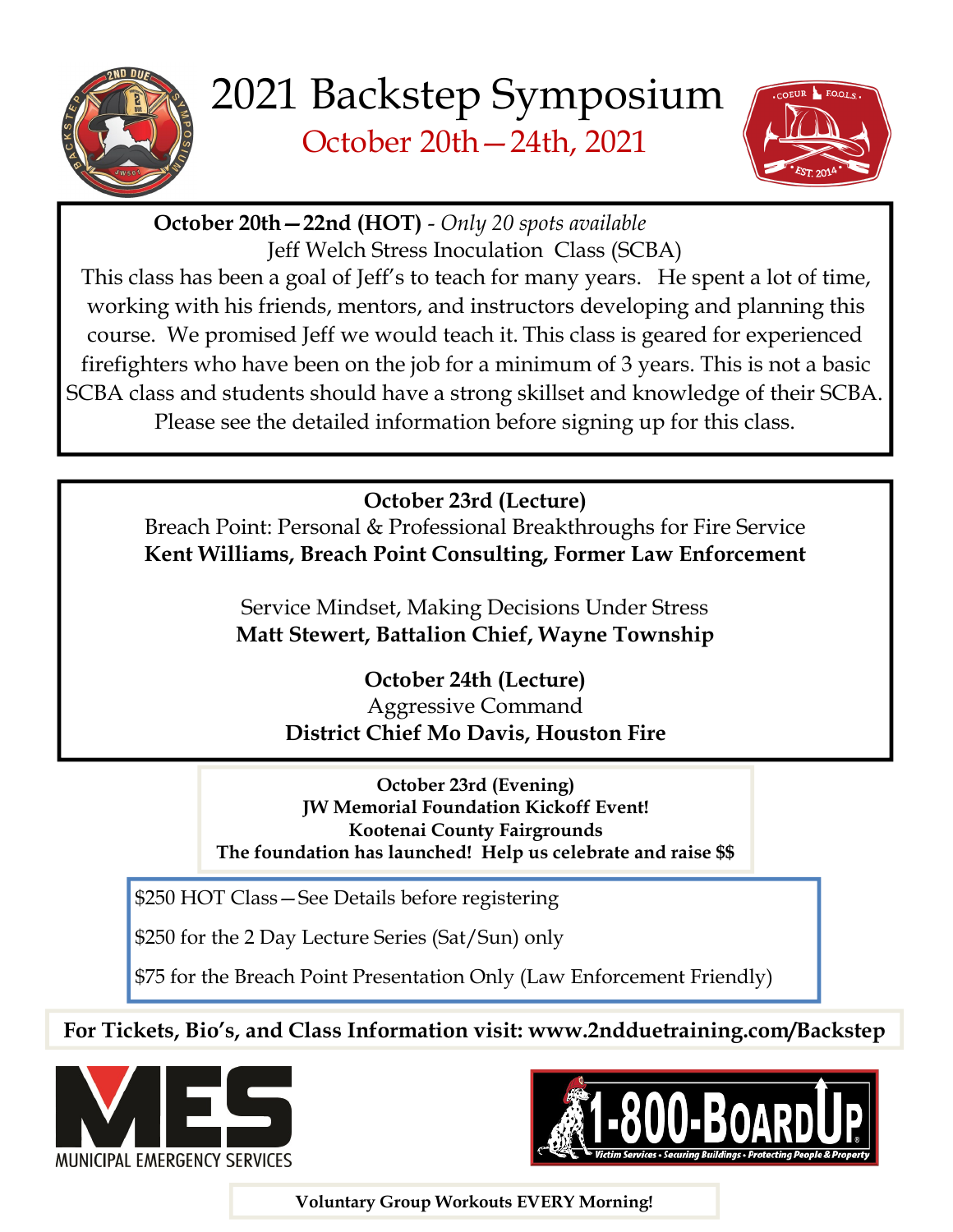



October 20th—22nd (HOT) - Only 20 spots available Jeff Welch Stress Inoculation Class (SCBA)

This class has been a goal of Jeff's to teach for many years. He spent a lot of time, working with his friends, mentors, and instructors developing and planning this course. We promised Jeff we would teach it. This class is geared for experienced firefighters who have been on the job for a minimum of 3 years. This is not a basic SCBA class and students should have a strong skillset and knowledge of their SCBA. Please see the detailed information before signing up for this class.

October 23rd (Lecture)

Breach Point: Personal & Professional Breakthroughs for Fire Service Kent Williams, Breach Point Consulting, Former Law Enforcement

> Service Mindset, Making Decisions Under Stress Matt Stewert, Battalion Chief, Wayne Township

> > October 24th (Lecture) Aggressive Command District Chief Mo Davis, Houston Fire

October 23rd (Evening) JW Memorial Foundation Kickoff Event! Kootenai County Fairgrounds The foundation has launched! Help us celebrate and raise \$\$

\$250 HOT Class—See Details before registering

\$250 for the 2 Day Lecture Series (Sat/Sun) only

\$75 for the Breach Point Presentation Only (Law Enforcement Friendly)

For Tickets, Bio's, and Class Information visit: www.2ndduetraining.com/Backstep





Voluntary Group Workouts EVERY Morning!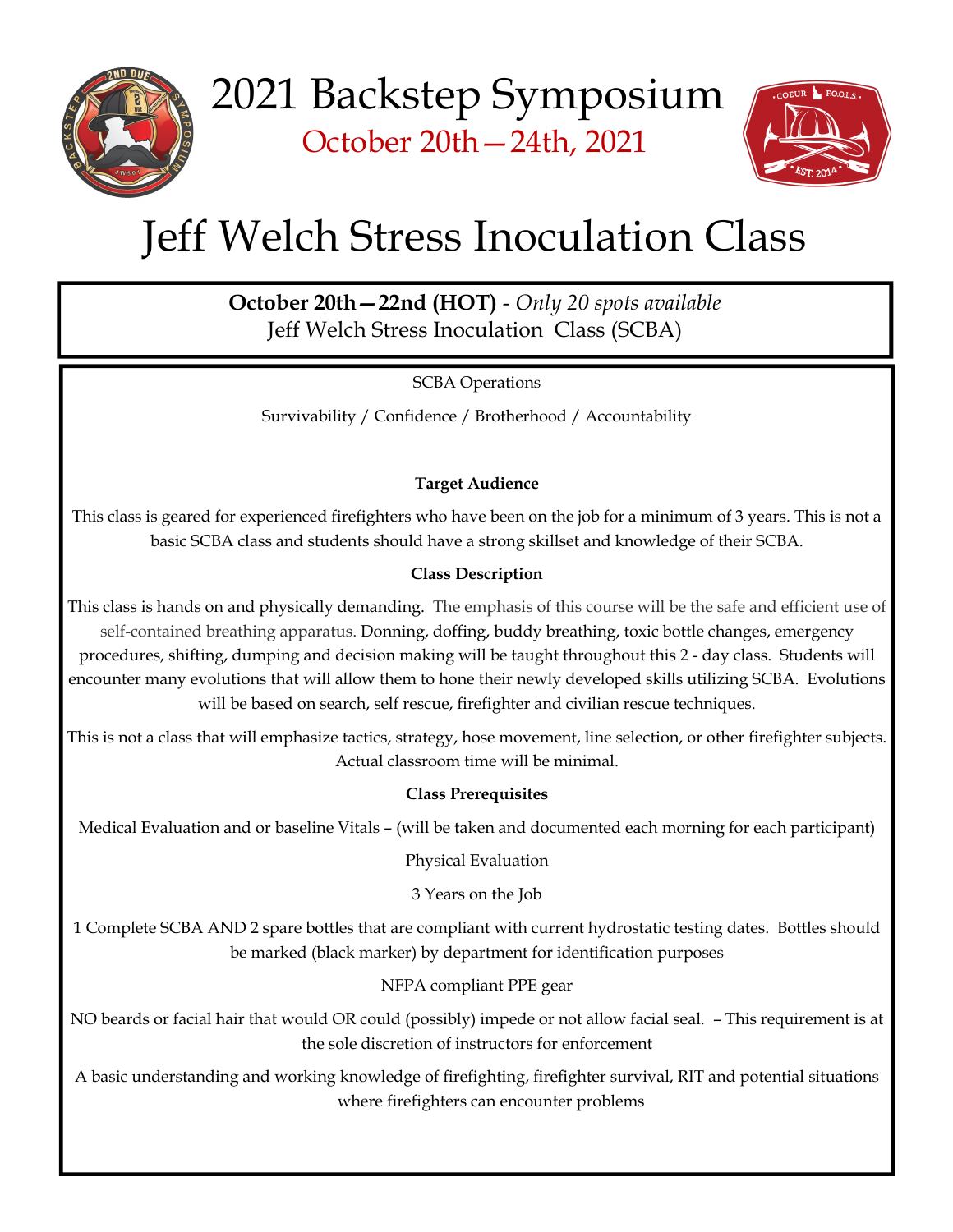



# Jeff Welch Stress Inoculation Class

October 20th—22nd (HOT) - Only 20 spots available Jeff Welch Stress Inoculation Class (SCBA)

SCBA Operations

Survivability / Confidence / Brotherhood / Accountability

## Target Audience

This class is geared for experienced firefighters who have been on the job for a minimum of 3 years. This is not a basic SCBA class and students should have a strong skillset and knowledge of their SCBA.

### Class Description

This class is hands on and physically demanding. The emphasis of this course will be the safe and efficient use of self-contained breathing apparatus. Donning, doffing, buddy breathing, toxic bottle changes, emergency procedures, shifting, dumping and decision making will be taught throughout this 2 - day class. Students will encounter many evolutions that will allow them to hone their newly developed skills utilizing SCBA. Evolutions will be based on search, self rescue, firefighter and civilian rescue techniques.

This is not a class that will emphasize tactics, strategy, hose movement, line selection, or other firefighter subjects. Actual classroom time will be minimal.

### Class Prerequisites

Medical Evaluation and or baseline Vitals – (will be taken and documented each morning for each participant)

Physical Evaluation

3 Years on the Job

1 Complete SCBA AND 2 spare bottles that are compliant with current hydrostatic testing dates. Bottles should be marked (black marker) by department for identification purposes

NFPA compliant PPE gear

NO beards or facial hair that would OR could (possibly) impede or not allow facial seal. – This requirement is at the sole discretion of instructors for enforcement

A basic understanding and working knowledge of firefighting, firefighter survival, RIT and potential situations where firefighters can encounter problems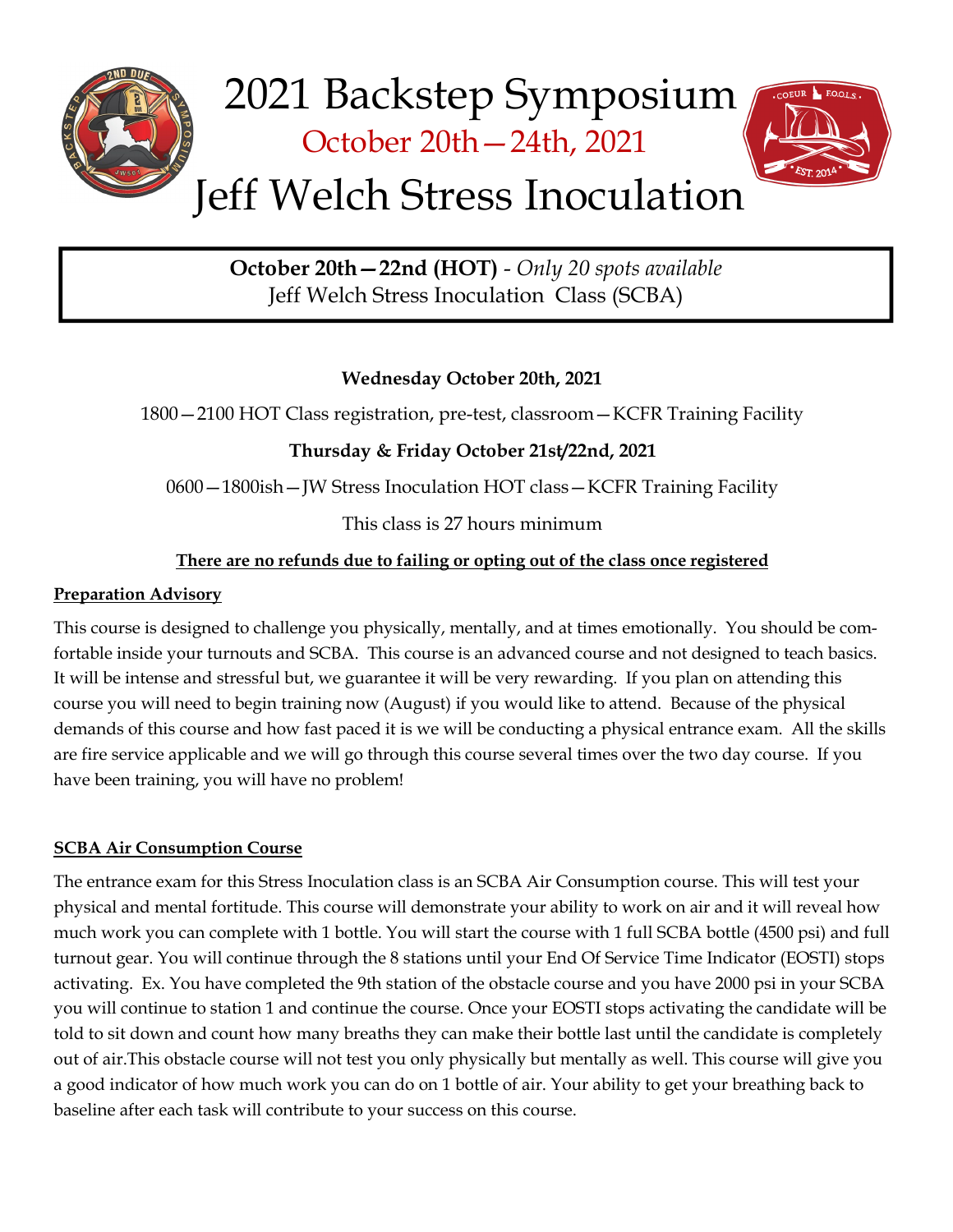

October 20th—22nd (HOT) - Only 20 spots available Jeff Welch Stress Inoculation Class (SCBA)

### Wednesday October 20th, 2021

1800—2100 HOT Class registration, pre-test, classroom—KCFR Training Facility

## Thursday & Friday October 21st/22nd, 2021

0600—1800ish—JW Stress Inoculation HOT class—KCFR Training Facility

This class is 27 hours minimum

## There are no refunds due to failing or opting out of the class once registered

### Preparation Advisory

This course is designed to challenge you physically, mentally, and at times emotionally. You should be comfortable inside your turnouts and SCBA. This course is an advanced course and not designed to teach basics. It will be intense and stressful but, we guarantee it will be very rewarding. If you plan on attending this course you will need to begin training now (August) if you would like to attend. Because of the physical demands of this course and how fast paced it is we will be conducting a physical entrance exam. All the skills are fire service applicable and we will go through this course several times over the two day course. If you have been training, you will have no problem!

### SCBA Air Consumption Course

The entrance exam for this Stress Inoculation class is an SCBA Air Consumption course. This will test your physical and mental fortitude. This course will demonstrate your ability to work on air and it will reveal how much work you can complete with 1 bottle. You will start the course with 1 full SCBA bottle (4500 psi) and full turnout gear. You will continue through the 8 stations until your End Of Service Time Indicator (EOSTI) stops activating. Ex. You have completed the 9th station of the obstacle course and you have 2000 psi in your SCBA you will continue to station 1 and continue the course. Once your EOSTI stops activating the candidate will be told to sit down and count how many breaths they can make their bottle last until the candidate is completely out of air.This obstacle course will not test you only physically but mentally as well. This course will give you a good indicator of how much work you can do on 1 bottle of air. Your ability to get your breathing back to baseline after each task will contribute to your success on this course.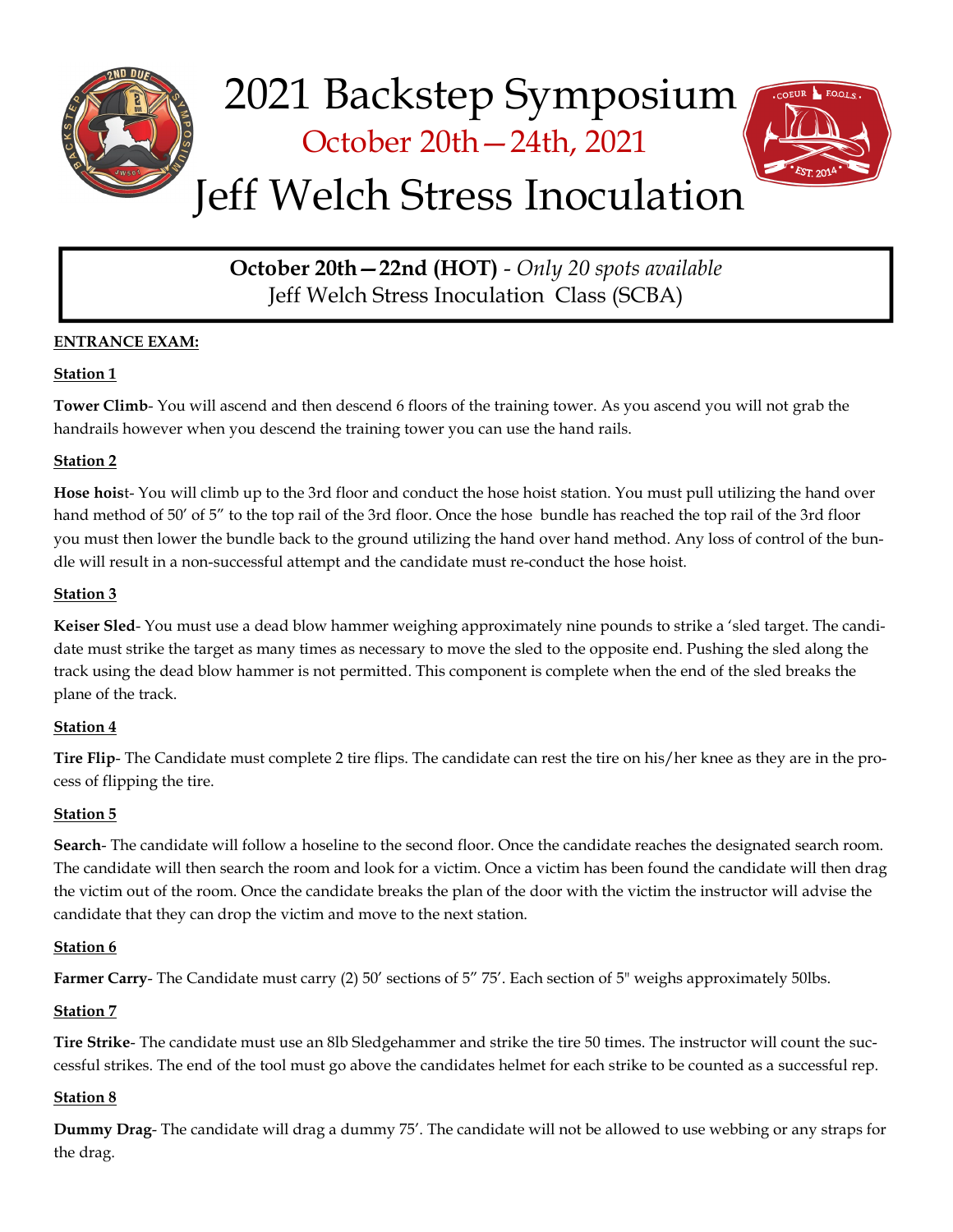

October 20th—24th, 2021



# Jeff Welch Stress Inoculation

October 20th—22nd (HOT) - Only 20 spots available Jeff Welch Stress Inoculation Class (SCBA)

#### ENTRANCE EXAM:

#### Station 1

Tower Climb- You will ascend and then descend 6 floors of the training tower. As you ascend you will not grab the handrails however when you descend the training tower you can use the hand rails.

#### Station 2

Hose hoist- You will climb up to the 3rd floor and conduct the hose hoist station. You must pull utilizing the hand over hand method of 50' of 5" to the top rail of the 3rd floor. Once the hose bundle has reached the top rail of the 3rd floor you must then lower the bundle back to the ground utilizing the hand over hand method. Any loss of control of the bundle will result in a non-successful attempt and the candidate must re-conduct the hose hoist.

#### Station 3

Keiser Sled- You must use a dead blow hammer weighing approximately nine pounds to strike a 'sled target. The candidate must strike the target as many times as necessary to move the sled to the opposite end. Pushing the sled along the track using the dead blow hammer is not permitted. This component is complete when the end of the sled breaks the plane of the track.

#### Station 4

Tire Flip- The Candidate must complete 2 tire flips. The candidate can rest the tire on his/her knee as they are in the process of flipping the tire.

#### Station 5

Search- The candidate will follow a hoseline to the second floor. Once the candidate reaches the designated search room. The candidate will then search the room and look for a victim. Once a victim has been found the candidate will then drag the victim out of the room. Once the candidate breaks the plan of the door with the victim the instructor will advise the candidate that they can drop the victim and move to the next station.

#### Station 6

Farmer Carry- The Candidate must carry (2) 50' sections of 5" 75'. Each section of 5" weighs approximately 50lbs.

#### Station 7

Tire Strike- The candidate must use an 8lb Sledgehammer and strike the tire 50 times. The instructor will count the successful strikes. The end of the tool must go above the candidates helmet for each strike to be counted as a successful rep.

#### Station 8

Dummy Drag- The candidate will drag a dummy 75'. The candidate will not be allowed to use webbing or any straps for the drag.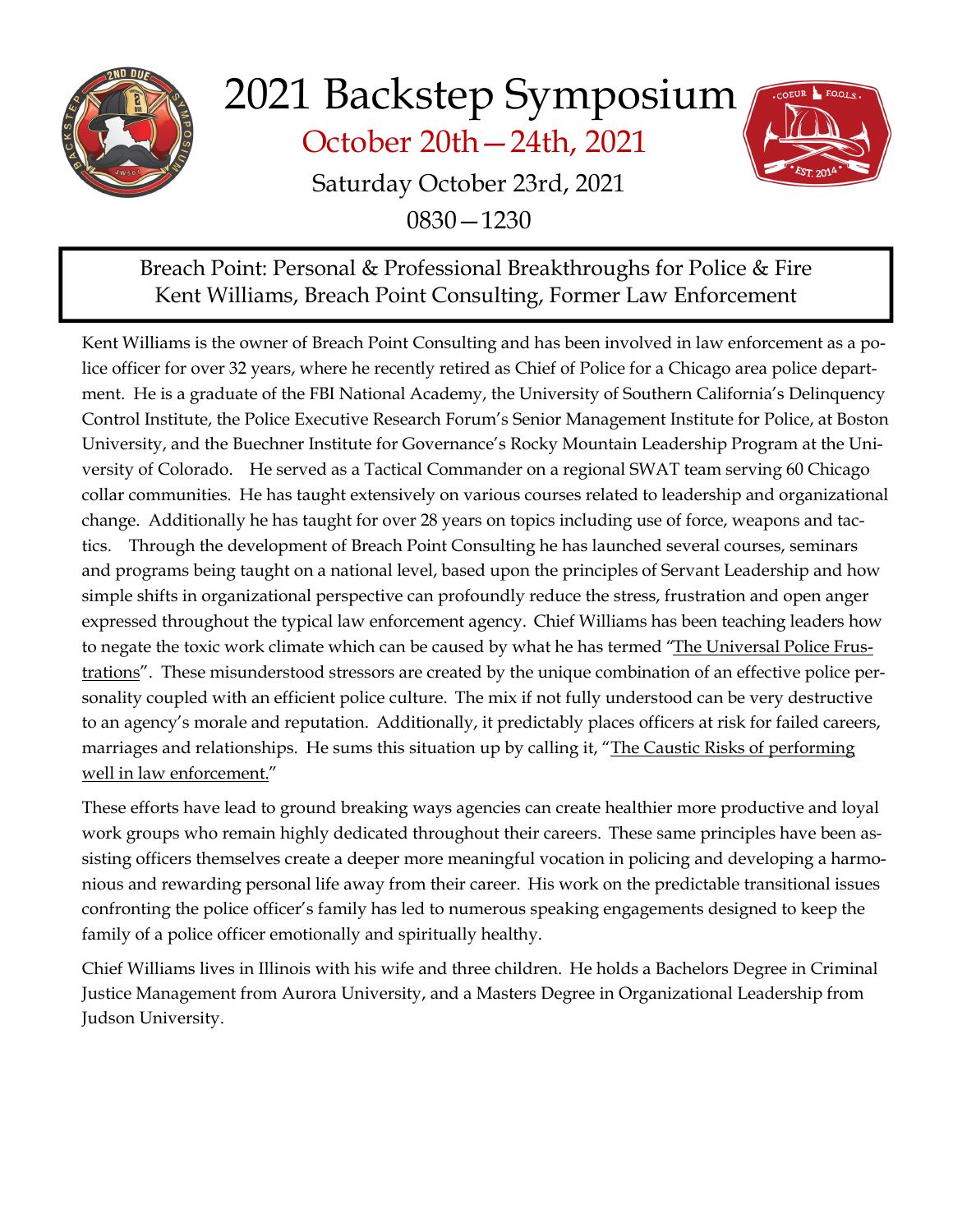

October 20th—24th, 2021



Saturday October 23rd, 2021 0830—1230

# Breach Point: Personal & Professional Breakthroughs for Police & Fire Kent Williams, Breach Point Consulting, Former Law Enforcement

Kent Williams is the owner of Breach Point Consulting and has been involved in law enforcement as a police officer for over 32 years, where he recently retired as Chief of Police for a Chicago area police department. He is a graduate of the FBI National Academy, the University of Southern California's Delinquency Control Institute, the Police Executive Research Forum's Senior Management Institute for Police, at Boston University, and the Buechner Institute for Governance's Rocky Mountain Leadership Program at the University of Colorado. He served as a Tactical Commander on a regional SWAT team serving 60 Chicago collar communities. He has taught extensively on various courses related to leadership and organizational change. Additionally he has taught for over 28 years on topics including use of force, weapons and tactics. Through the development of Breach Point Consulting he has launched several courses, seminars and programs being taught on a national level, based upon the principles of Servant Leadership and how simple shifts in organizational perspective can profoundly reduce the stress, frustration and open anger expressed throughout the typical law enforcement agency. Chief Williams has been teaching leaders how to negate the toxic work climate which can be caused by what he has termed "The Universal Police Frustrations". These misunderstood stressors are created by the unique combination of an effective police personality coupled with an efficient police culture. The mix if not fully understood can be very destructive to an agency's morale and reputation. Additionally, it predictably places officers at risk for failed careers, marriages and relationships. He sums this situation up by calling it, "The Caustic Risks of performing well in law enforcement."

These efforts have lead to ground breaking ways agencies can create healthier more productive and loyal work groups who remain highly dedicated throughout their careers. These same principles have been assisting officers themselves create a deeper more meaningful vocation in policing and developing a harmonious and rewarding personal life away from their career. His work on the predictable transitional issues confronting the police officer's family has led to numerous speaking engagements designed to keep the family of a police officer emotionally and spiritually healthy.

Chief Williams lives in Illinois with his wife and three children. He holds a Bachelors Degree in Criminal Justice Management from Aurora University, and a Masters Degree in Organizational Leadership from Judson University.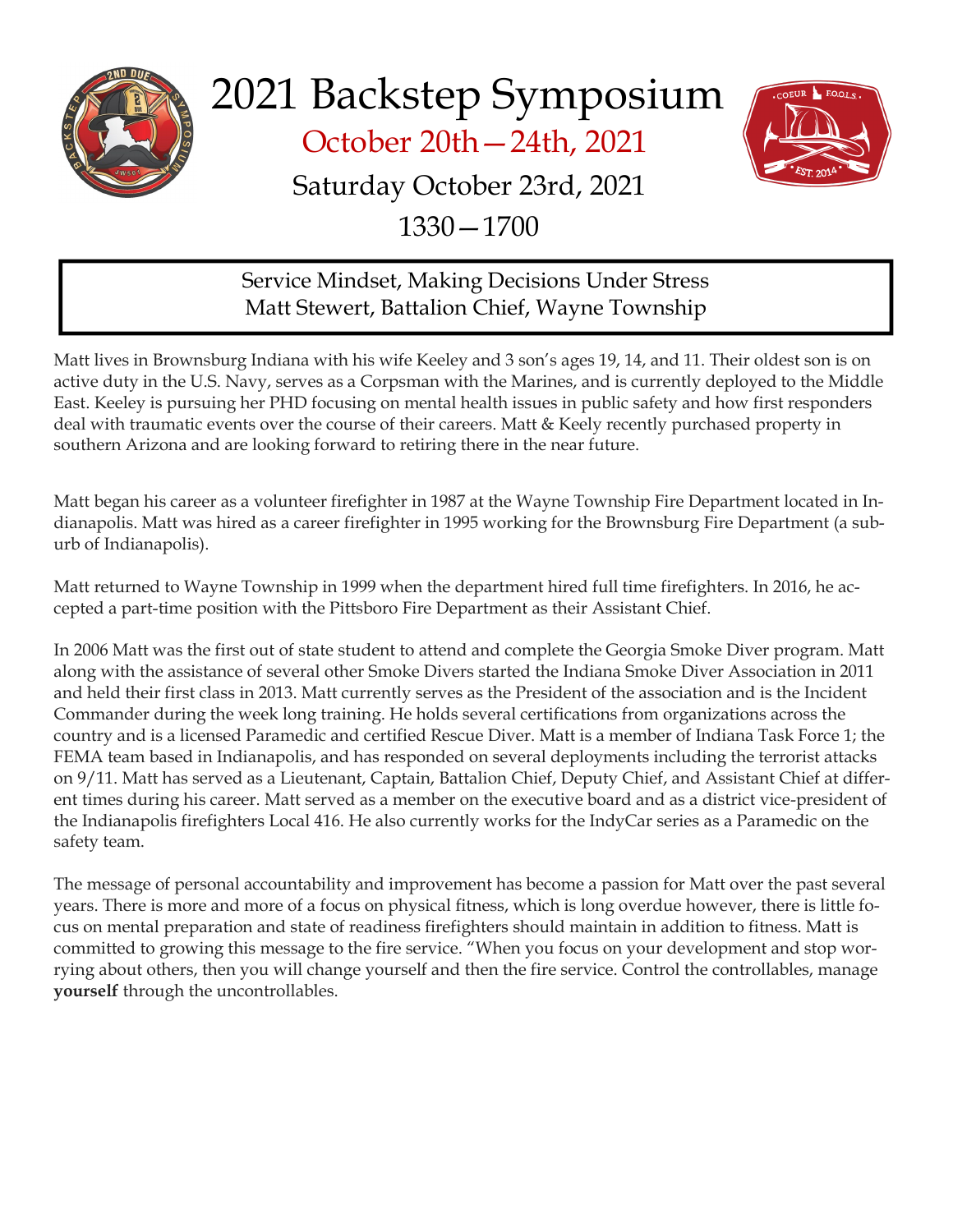

October 20th—24th, 2021



# Saturday October 23rd, 2021

1330—1700

# Service Mindset, Making Decisions Under Stress Matt Stewert, Battalion Chief, Wayne Township

Matt lives in Brownsburg Indiana with his wife Keeley and 3 son's ages 19, 14, and 11. Their oldest son is on active duty in the U.S. Navy, serves as a Corpsman with the Marines, and is currently deployed to the Middle East. Keeley is pursuing her PHD focusing on mental health issues in public safety and how first responders deal with traumatic events over the course of their careers. Matt & Keely recently purchased property in southern Arizona and are looking forward to retiring there in the near future.

Matt began his career as a volunteer firefighter in 1987 at the Wayne Township Fire Department located in Indianapolis. Matt was hired as a career firefighter in 1995 working for the Brownsburg Fire Department (a suburb of Indianapolis).

Matt returned to Wayne Township in 1999 when the department hired full time firefighters. In 2016, he accepted a part-time position with the Pittsboro Fire Department as their Assistant Chief.

In 2006 Matt was the first out of state student to attend and complete the Georgia Smoke Diver program. Matt along with the assistance of several other Smoke Divers started the Indiana Smoke Diver Association in 2011 and held their first class in 2013. Matt currently serves as the President of the association and is the Incident Commander during the week long training. He holds several certifications from organizations across the country and is a licensed Paramedic and certified Rescue Diver. Matt is a member of Indiana Task Force 1; the FEMA team based in Indianapolis, and has responded on several deployments including the terrorist attacks on 9/11. Matt has served as a Lieutenant, Captain, Battalion Chief, Deputy Chief, and Assistant Chief at different times during his career. Matt served as a member on the executive board and as a district vice-president of the Indianapolis firefighters Local 416. He also currently works for the IndyCar series as a Paramedic on the safety team.

The message of personal accountability and improvement has become a passion for Matt over the past several years. There is more and more of a focus on physical fitness, which is long overdue however, there is little focus on mental preparation and state of readiness firefighters should maintain in addition to fitness. Matt is committed to growing this message to the fire service. "When you focus on your development and stop worrying about others, then you will change yourself and then the fire service. Control the controllables, manage yourself through the uncontrollables.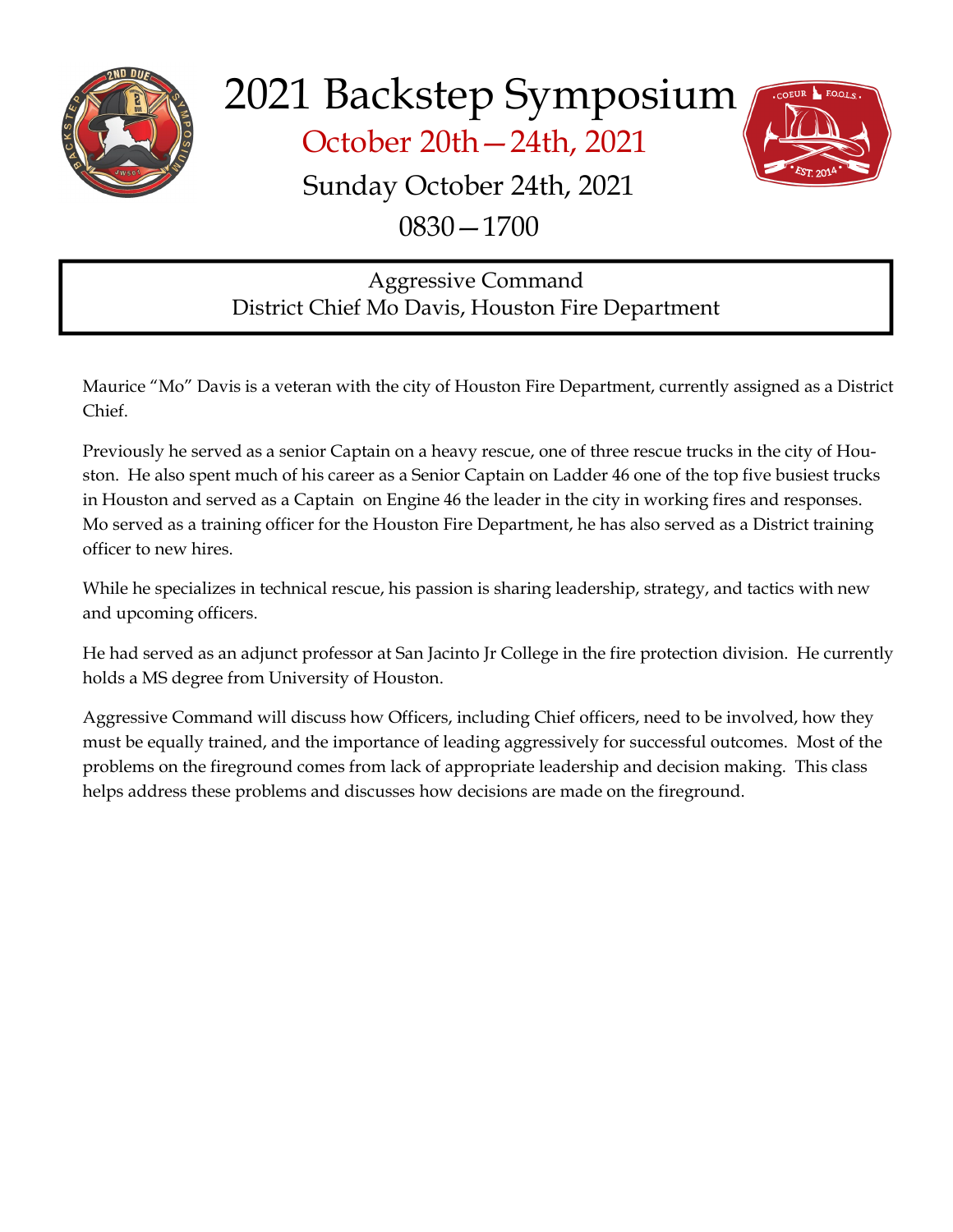

October 20th—24th, 2021



# Sunday October 24th, 2021

0830—1700

# Aggressive Command District Chief Mo Davis, Houston Fire Department

Maurice "Mo" Davis is a veteran with the city of Houston Fire Department, currently assigned as a District Chief.

Previously he served as a senior Captain on a heavy rescue, one of three rescue trucks in the city of Houston. He also spent much of his career as a Senior Captain on Ladder 46 one of the top five busiest trucks in Houston and served as a Captain on Engine 46 the leader in the city in working fires and responses. Mo served as a training officer for the Houston Fire Department, he has also served as a District training officer to new hires.

While he specializes in technical rescue, his passion is sharing leadership, strategy, and tactics with new and upcoming officers.

He had served as an adjunct professor at San Jacinto Jr College in the fire protection division. He currently holds a MS degree from University of Houston.

Aggressive Command will discuss how Officers, including Chief officers, need to be involved, how they must be equally trained, and the importance of leading aggressively for successful outcomes. Most of the problems on the fireground comes from lack of appropriate leadership and decision making. This class helps address these problems and discusses how decisions are made on the fireground.